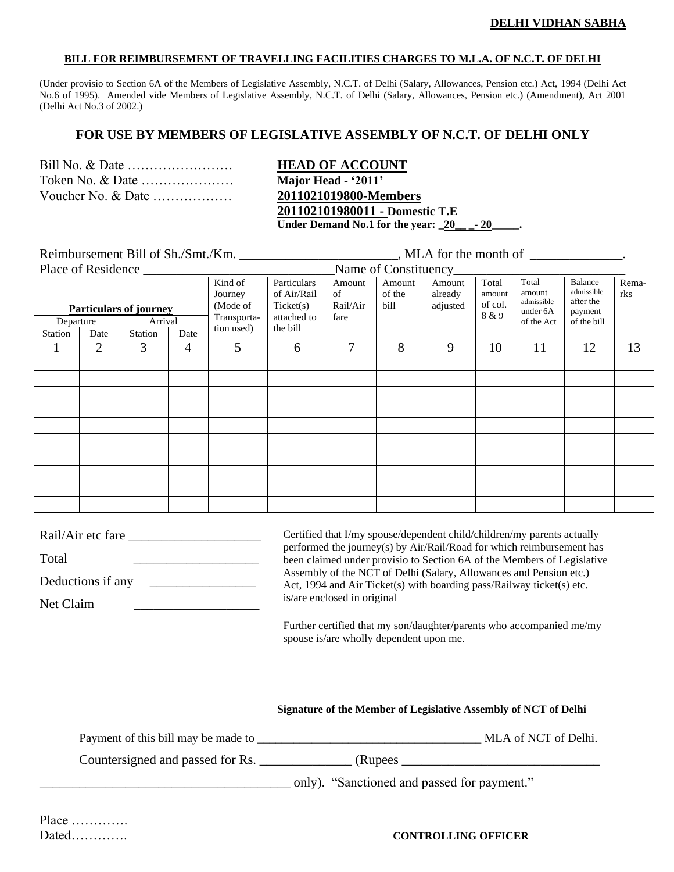#### **BILL FOR REIMBURSEMENT OF TRAVELLING FACILITIES CHARGES TO M.L.A. OF N.C.T. OF DELHI**

(Under provisio to Section 6A of the Members of Legislative Assembly, N.C.T. of Delhi (Salary, Allowances, Pension etc.) Act, 1994 (Delhi Act No.6 of 1995). Amended vide Members of Legislative Assembly, N.C.T. of Delhi (Salary, Allowances, Pension etc.) (Amendment), Act 2001 (Delhi Act No.3 of 2002.)

## **FOR USE BY MEMBERS OF LEGISLATIVE ASSEMBLY OF N.C.T. OF DELHI ONLY**

| Voucher No. & Date |  |
|--------------------|--|

**HEAD OF ACCOUNT** Major Head - '2011' Voucher No. & Date ……………… **2011021019800-Members 201102101980011 - Domestic T.E Under Demand No.1 for the year: \_20\_\_ \_- 20\_\_\_\_\_.**

Reimbursement Bill of Sh./Smt./Km. \_\_\_\_\_\_\_\_\_\_\_\_\_\_\_\_\_\_\_\_\_\_\_, MLA for the month of \_\_\_\_\_\_\_\_\_\_\_\_\_\_.

| Place of Residence<br>Name of Constituency            |                        |                                                             |                                                                    |                                  |                          |                               |                                     |                                                         |                                                              |              |    |    |
|-------------------------------------------------------|------------------------|-------------------------------------------------------------|--------------------------------------------------------------------|----------------------------------|--------------------------|-------------------------------|-------------------------------------|---------------------------------------------------------|--------------------------------------------------------------|--------------|----|----|
| <b>Particulars of journey</b><br>Arrival<br>Departure |                        | Kind of<br>Journey<br>(Mode of<br>Transporta-<br>tion used) | Particulars<br>of Air/Rail<br>Ticket(s)<br>attached to<br>the bill | Amount<br>of<br>Rail/Air<br>fare | Amount<br>of the<br>bill | Amount<br>already<br>adjusted | Total<br>amount<br>of col.<br>8 & 9 | Total<br>amount<br>admissible<br>under 6A<br>of the Act | Balance<br>admissible<br>after the<br>payment<br>of the bill | Rema-<br>rks |    |    |
| Station                                               | Date<br>$\overline{2}$ | Station<br>3                                                | Date                                                               |                                  |                          | 7                             | 8                                   | 9                                                       | 10                                                           | 11           | 12 | 13 |
|                                                       |                        |                                                             | $\overline{4}$                                                     | 5                                | 6                        |                               |                                     |                                                         |                                                              |              |    |    |
|                                                       |                        |                                                             |                                                                    |                                  |                          |                               |                                     |                                                         |                                                              |              |    |    |
|                                                       |                        |                                                             |                                                                    |                                  |                          |                               |                                     |                                                         |                                                              |              |    |    |
|                                                       |                        |                                                             |                                                                    |                                  |                          |                               |                                     |                                                         |                                                              |              |    |    |
|                                                       |                        |                                                             |                                                                    |                                  |                          |                               |                                     |                                                         |                                                              |              |    |    |
|                                                       |                        |                                                             |                                                                    |                                  |                          |                               |                                     |                                                         |                                                              |              |    |    |
|                                                       |                        |                                                             |                                                                    |                                  |                          |                               |                                     |                                                         |                                                              |              |    |    |
|                                                       |                        |                                                             |                                                                    |                                  |                          |                               |                                     |                                                         |                                                              |              |    |    |
|                                                       |                        |                                                             |                                                                    |                                  |                          |                               |                                     |                                                         |                                                              |              |    |    |
|                                                       |                        |                                                             |                                                                    |                                  |                          |                               |                                     |                                                         |                                                              |              |    |    |
|                                                       |                        |                                                             |                                                                    |                                  |                          |                               |                                     |                                                         |                                                              |              |    |    |

| Rail/Air etc fare | Certified that I/my spouse/dependent child/children/my parents actually<br>performed the journey(s) by Air/Rail/Road for which reimbursement has |
|-------------------|--------------------------------------------------------------------------------------------------------------------------------------------------|
| Total             | been claimed under provisio to Section 6A of the Members of Legislative                                                                          |
| Deductions if any | Assembly of the NCT of Delhi (Salary, Allowances and Pension etc.)<br>Act, 1994 and Air Ticket(s) with boarding pass/Railway ticket(s) etc.      |
| Net Claim         | is/are enclosed in original                                                                                                                      |
|                   | Further certified that my son/daughter/parents who accompanied me/my                                                                             |

spouse is/are wholly dependent upon me.

**Signature of the Member of Legislative Assembly of NCT of Delhi**

| Payment of this bill may be made to |                                             | MLA of NCT of Delhi. |
|-------------------------------------|---------------------------------------------|----------------------|
| Countersigned and passed for Rs.    | (Rupees)                                    |                      |
|                                     | only). "Sanctioned and passed for payment." |                      |

### Dated…………. **CONTROLLING OFFICER**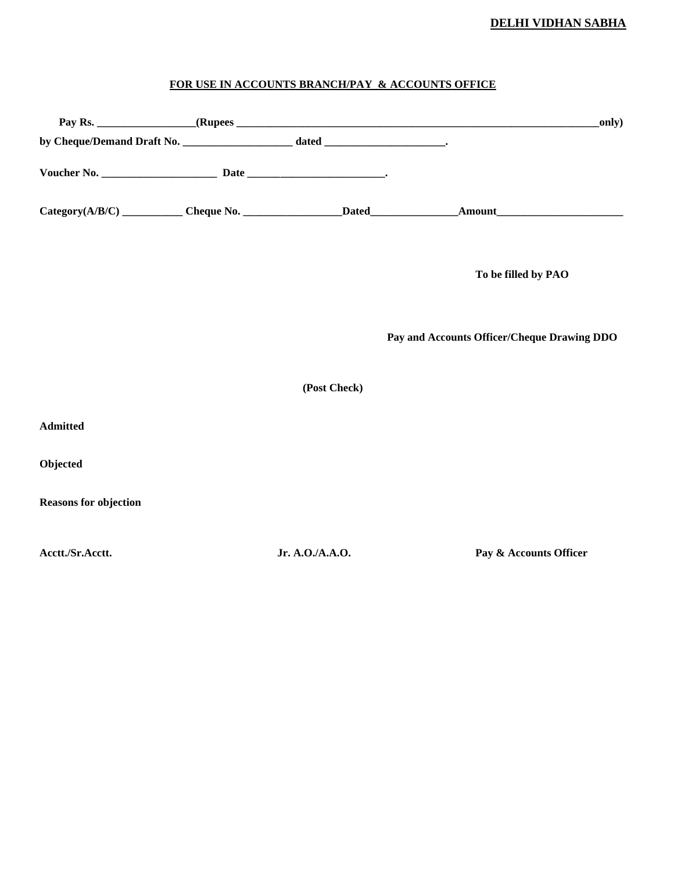## **DELHI VIDHAN SABHA**

# **FOR USE IN ACCOUNTS BRANCH/PAY & ACCOUNTS OFFICE**

|                              |                 | only)                                       |
|------------------------------|-----------------|---------------------------------------------|
|                              |                 |                                             |
|                              |                 |                                             |
|                              |                 |                                             |
|                              |                 | To be filled by PAO                         |
|                              |                 | Pay and Accounts Officer/Cheque Drawing DDO |
|                              | (Post Check)    |                                             |
| <b>Admitted</b>              |                 |                                             |
| Objected                     |                 |                                             |
| <b>Reasons for objection</b> |                 |                                             |
| Acctt./Sr.Acctt.             | Jr. A.O./A.A.O. | Pay & Accounts Officer                      |